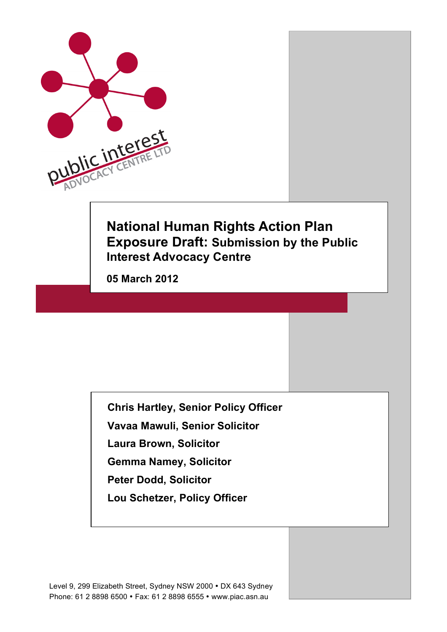

# **National Human Rights Action Plan Exposure Draft: Submission by the Public Interest Advocacy Centre**

**05 March 2012** 

**Chris Hartley, Senior Policy Officer**

**Vavaa Mawuli, Senior Solicitor** 

**Laura Brown, Solicitor** 

**Gemma Namey, Solicitor** 

**Peter Dodd, Solicitor**

**Lou Schetzer, Policy Officer**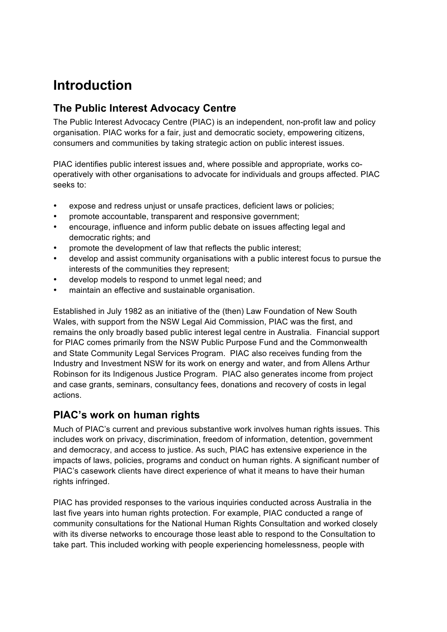# **Introduction**

### **The Public Interest Advocacy Centre**

The Public Interest Advocacy Centre (PIAC) is an independent, non-profit law and policy organisation. PIAC works for a fair, just and democratic society, empowering citizens, consumers and communities by taking strategic action on public interest issues.

PIAC identifies public interest issues and, where possible and appropriate, works cooperatively with other organisations to advocate for individuals and groups affected. PIAC seeks to:

- expose and redress unjust or unsafe practices, deficient laws or policies;
- promote accountable, transparent and responsive government;
- encourage, influence and inform public debate on issues affecting legal and democratic rights; and
- promote the development of law that reflects the public interest;
- develop and assist community organisations with a public interest focus to pursue the interests of the communities they represent;
- develop models to respond to unmet legal need; and
- maintain an effective and sustainable organisation.

Established in July 1982 as an initiative of the (then) Law Foundation of New South Wales, with support from the NSW Legal Aid Commission, PIAC was the first, and remains the only broadly based public interest legal centre in Australia. Financial support for PIAC comes primarily from the NSW Public Purpose Fund and the Commonwealth and State Community Legal Services Program. PIAC also receives funding from the Industry and Investment NSW for its work on energy and water, and from Allens Arthur Robinson for its Indigenous Justice Program. PIAC also generates income from project and case grants, seminars, consultancy fees, donations and recovery of costs in legal actions.

### **PIAC's work on human rights**

Much of PIAC's current and previous substantive work involves human rights issues. This includes work on privacy, discrimination, freedom of information, detention, government and democracy, and access to justice. As such, PIAC has extensive experience in the impacts of laws, policies, programs and conduct on human rights. A significant number of PIAC's casework clients have direct experience of what it means to have their human rights infringed.

PIAC has provided responses to the various inquiries conducted across Australia in the last five years into human rights protection. For example, PIAC conducted a range of community consultations for the National Human Rights Consultation and worked closely with its diverse networks to encourage those least able to respond to the Consultation to take part. This included working with people experiencing homelessness, people with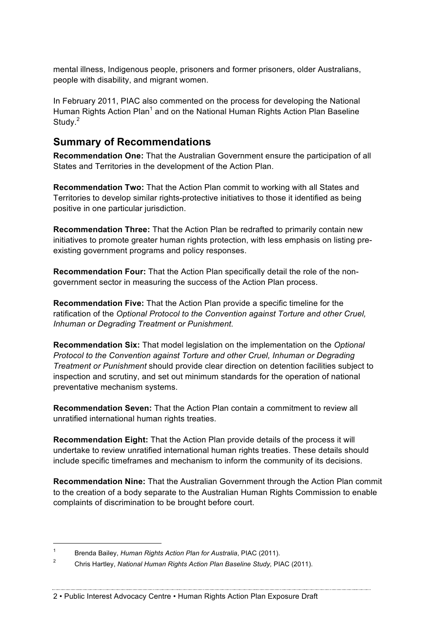mental illness, Indigenous people, prisoners and former prisoners, older Australians, people with disability, and migrant women.

In February 2011, PIAC also commented on the process for developing the National Human Rights Action Plan<sup>1</sup> and on the National Human Rights Action Plan Baseline Study.<sup>2</sup>

### **Summary of Recommendations**

**Recommendation One:** That the Australian Government ensure the participation of all States and Territories in the development of the Action Plan.

**Recommendation Two:** That the Action Plan commit to working with all States and Territories to develop similar rights-protective initiatives to those it identified as being positive in one particular jurisdiction.

**Recommendation Three:** That the Action Plan be redrafted to primarily contain new initiatives to promote greater human rights protection, with less emphasis on listing preexisting government programs and policy responses.

**Recommendation Four:** That the Action Plan specifically detail the role of the nongovernment sector in measuring the success of the Action Plan process.

**Recommendation Five:** That the Action Plan provide a specific timeline for the ratification of the *Optional Protocol to the Convention against Torture and other Cruel, Inhuman or Degrading Treatment or Punishment*.

**Recommendation Six:** That model legislation on the implementation on the *Optional Protocol to the Convention against Torture and other Cruel, Inhuman or Degrading Treatment or Punishment* should provide clear direction on detention facilities subject to inspection and scrutiny, and set out minimum standards for the operation of national preventative mechanism systems.

**Recommendation Seven:** That the Action Plan contain a commitment to review all unratified international human rights treaties.

**Recommendation Eight:** That the Action Plan provide details of the process it will undertake to review unratified international human rights treaties. These details should include specific timeframes and mechanism to inform the community of its decisions.

**Recommendation Nine:** That the Australian Government through the Action Plan commit to the creation of a body separate to the Australian Human Rights Commission to enable complaints of discrimination to be brought before court.

 <sup>1</sup> Brenda Bailey, *Human Rights Action Plan for Australia*, PIAC (2011).

<sup>2</sup> Chris Hartley, *National Human Rights Action Plan Baseline Study,* PIAC (2011).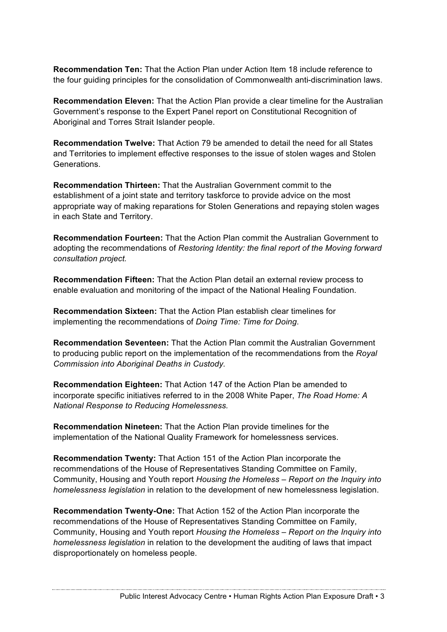**Recommendation Ten:** That the Action Plan under Action Item 18 include reference to the four guiding principles for the consolidation of Commonwealth anti-discrimination laws.

**Recommendation Eleven:** That the Action Plan provide a clear timeline for the Australian Government's response to the Expert Panel report on Constitutional Recognition of Aboriginal and Torres Strait Islander people.

**Recommendation Twelve:** That Action 79 be amended to detail the need for all States and Territories to implement effective responses to the issue of stolen wages and Stolen Generations.

**Recommendation Thirteen:** That the Australian Government commit to the establishment of a joint state and territory taskforce to provide advice on the most appropriate way of making reparations for Stolen Generations and repaying stolen wages in each State and Territory.

**Recommendation Fourteen:** That the Action Plan commit the Australian Government to adopting the recommendations of *Restoring Identity: the final report of the Moving forward consultation project.*

**Recommendation Fifteen:** That the Action Plan detail an external review process to enable evaluation and monitoring of the impact of the National Healing Foundation.

**Recommendation Sixteen:** That the Action Plan establish clear timelines for implementing the recommendations of *Doing Time: Time for Doing*.

**Recommendation Seventeen:** That the Action Plan commit the Australian Government to producing public report on the implementation of the recommendations from the *Royal Commission into Aboriginal Deaths in Custody.*

**Recommendation Eighteen:** That Action 147 of the Action Plan be amended to incorporate specific initiatives referred to in the 2008 White Paper, *The Road Home: A National Response to Reducing Homelessness.*

**Recommendation Nineteen:** That the Action Plan provide timelines for the implementation of the National Quality Framework for homelessness services.

**Recommendation Twenty:** That Action 151 of the Action Plan incorporate the recommendations of the House of Representatives Standing Committee on Family, Community, Housing and Youth report *Housing the Homeless – Report on the Inquiry into homelessness legislation* in relation to the development of new homelessness legislation.

**Recommendation Twenty-One:** That Action 152 of the Action Plan incorporate the recommendations of the House of Representatives Standing Committee on Family, Community, Housing and Youth report *Housing the Homeless – Report on the Inquiry into homelessness legislation* in relation to the development the auditing of laws that impact disproportionately on homeless people.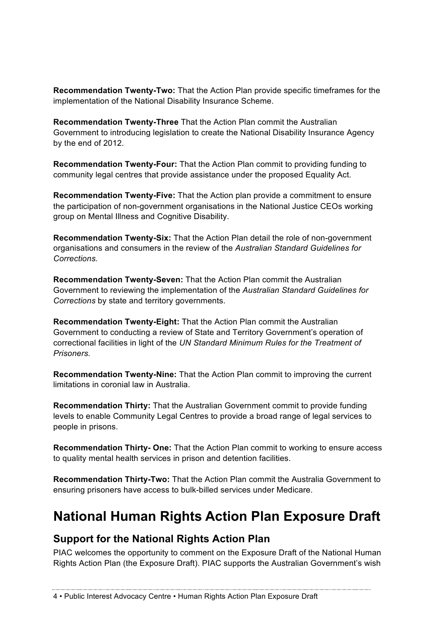**Recommendation Twenty-Two:** That the Action Plan provide specific timeframes for the implementation of the National Disability Insurance Scheme.

**Recommendation Twenty-Three** That the Action Plan commit the Australian Government to introducing legislation to create the National Disability Insurance Agency by the end of 2012.

**Recommendation Twenty-Four:** That the Action Plan commit to providing funding to community legal centres that provide assistance under the proposed Equality Act.

**Recommendation Twenty-Five:** That the Action plan provide a commitment to ensure the participation of non-government organisations in the National Justice CEOs working group on Mental Illness and Cognitive Disability.

**Recommendation Twenty-Six:** That the Action Plan detail the role of non-government organisations and consumers in the review of the *Australian Standard Guidelines for Corrections.*

**Recommendation Twenty-Seven:** That the Action Plan commit the Australian Government to reviewing the implementation of the *Australian Standard Guidelines for Corrections* by state and territory governments.

**Recommendation Twenty-Eight:** That the Action Plan commit the Australian Government to conducting a review of State and Territory Government's operation of correctional facilities in light of the *UN Standard Minimum Rules for the Treatment of Prisoners.*

**Recommendation Twenty-Nine:** That the Action Plan commit to improving the current limitations in coronial law in Australia.

**Recommendation Thirty:** That the Australian Government commit to provide funding levels to enable Community Legal Centres to provide a broad range of legal services to people in prisons.

**Recommendation Thirty- One:** That the Action Plan commit to working to ensure access to quality mental health services in prison and detention facilities.

**Recommendation Thirty-Two:** That the Action Plan commit the Australia Government to ensuring prisoners have access to bulk-billed services under Medicare.

# **National Human Rights Action Plan Exposure Draft**

### **Support for the National Rights Action Plan**

PIAC welcomes the opportunity to comment on the Exposure Draft of the National Human Rights Action Plan (the Exposure Draft). PIAC supports the Australian Government's wish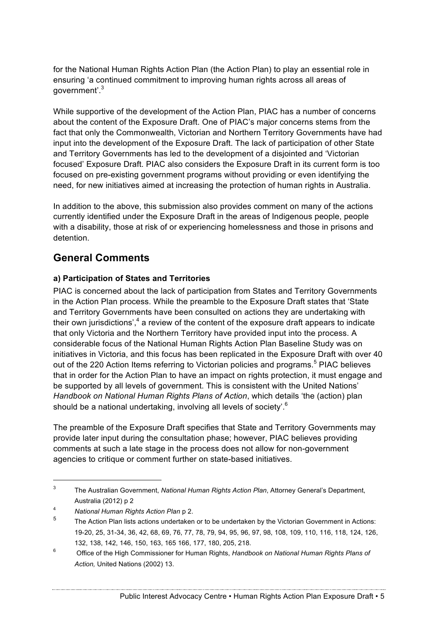for the National Human Rights Action Plan (the Action Plan) to play an essential role in ensuring 'a continued commitment to improving human rights across all areas of government'.<sup>3</sup>

While supportive of the development of the Action Plan, PIAC has a number of concerns about the content of the Exposure Draft. One of PIAC's major concerns stems from the fact that only the Commonwealth, Victorian and Northern Territory Governments have had input into the development of the Exposure Draft. The lack of participation of other State and Territory Governments has led to the development of a disjointed and 'Victorian focused' Exposure Draft. PIAC also considers the Exposure Draft in its current form is too focused on pre-existing government programs without providing or even identifying the need, for new initiatives aimed at increasing the protection of human rights in Australia.

In addition to the above, this submission also provides comment on many of the actions currently identified under the Exposure Draft in the areas of Indigenous people, people with a disability, those at risk of or experiencing homelessness and those in prisons and detention.

### **General Comments**

### **a) Participation of States and Territories**

PIAC is concerned about the lack of participation from States and Territory Governments in the Action Plan process. While the preamble to the Exposure Draft states that 'State and Territory Governments have been consulted on actions they are undertaking with their own jurisdictions', $4$  a review of the content of the exposure draft appears to indicate that only Victoria and the Northern Territory have provided input into the process. A considerable focus of the National Human Rights Action Plan Baseline Study was on initiatives in Victoria, and this focus has been replicated in the Exposure Draft with over 40 out of the 220 Action Items referring to Victorian policies and programs.<sup>5</sup> PIAC believes that in order for the Action Plan to have an impact on rights protection, it must engage and be supported by all levels of government. This is consistent with the United Nations' *Handbook on National Human Rights Plans of Action*, which details 'the (action) plan should be a national undertaking, involving all levels of society'.<sup>6</sup>

The preamble of the Exposure Draft specifies that State and Territory Governments may provide later input during the consultation phase; however, PIAC believes providing comments at such a late stage in the process does not allow for non-government agencies to critique or comment further on state-based initiatives.

 <sup>3</sup> The Australian Government, *National Human Rights Action Plan*, Attorney General's Department, Australia (2012) p 2

<sup>4</sup> *National Human Rights Action Plan* p 2.

The Action Plan lists actions undertaken or to be undertaken by the Victorian Government in Actions: 19-20, 25, 31-34, 36, 42, 68, 69, 76, 77, 78, 79, 94, 95, 96, 97, 98, 108, 109, 110, 116, 118, 124, 126, 132, 138, 142, 146, 150, 163, 165 166, 177, 180, 205, 218.

<sup>6</sup> Office of the High Commissioner for Human Rights, *Handbook on National Human Rights Plans of Action,* United Nations (2002) 13.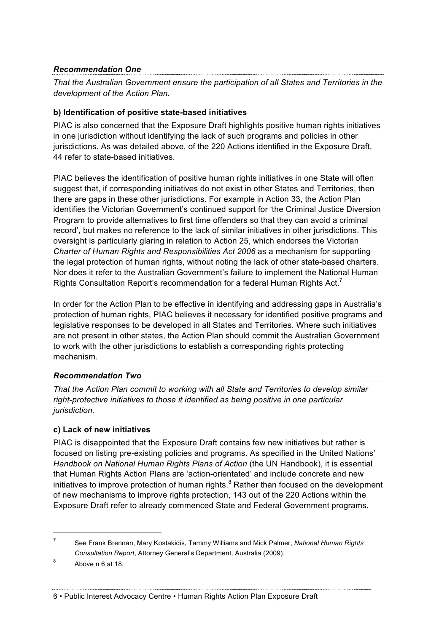### *Recommendation One*

*That the Australian Government ensure the participation of all States and Territories in the development of the Action Plan.* 

### **b) Identification of positive state-based initiatives**

PIAC is also concerned that the Exposure Draft highlights positive human rights initiatives in one jurisdiction without identifying the lack of such programs and policies in other jurisdictions. As was detailed above, of the 220 Actions identified in the Exposure Draft, 44 refer to state-based initiatives.

PIAC believes the identification of positive human rights initiatives in one State will often suggest that, if corresponding initiatives do not exist in other States and Territories, then there are gaps in these other jurisdictions. For example in Action 33, the Action Plan identifies the Victorian Government's continued support for 'the Criminal Justice Diversion Program to provide alternatives to first time offenders so that they can avoid a criminal record', but makes no reference to the lack of similar initiatives in other jurisdictions. This oversight is particularly glaring in relation to Action 25, which endorses the Victorian *Charter of Human Rights and Responsibilities Act 2006* as a mechanism for supporting the legal protection of human rights, without noting the lack of other state-based charters. Nor does it refer to the Australian Government's failure to implement the National Human Rights Consultation Report's recommendation for a federal Human Rights Act.<sup>7</sup>

In order for the Action Plan to be effective in identifying and addressing gaps in Australia's protection of human rights, PIAC believes it necessary for identified positive programs and legislative responses to be developed in all States and Territories. Where such initiatives are not present in other states, the Action Plan should commit the Australian Government to work with the other jurisdictions to establish a corresponding rights protecting mechanism.

### *Recommendation Two*

*That the Action Plan commit to working with all State and Territories to develop similar right-protective initiatives to those it identified as being positive in one particular jurisdiction.* 

### **c) Lack of new initiatives**

PIAC is disappointed that the Exposure Draft contains few new initiatives but rather is focused on listing pre-existing policies and programs. As specified in the United Nations' *Handbook on National Human Rights Plans of Action* (the UN Handbook), it is essential that Human Rights Action Plans are 'action-orientated' and include concrete and new initiatives to improve protection of human rights. $8$  Rather than focused on the development of new mechanisms to improve rights protection, 143 out of the 220 Actions within the Exposure Draft refer to already commenced State and Federal Government programs.

 <sup>7</sup> See Frank Brennan, Mary Kostakidis, Tammy Williams and Mick Palmer, *National Human Rights Consultation Report*, Attorney General's Department, Australia (2009).

 $8$  Above n 6 at 18.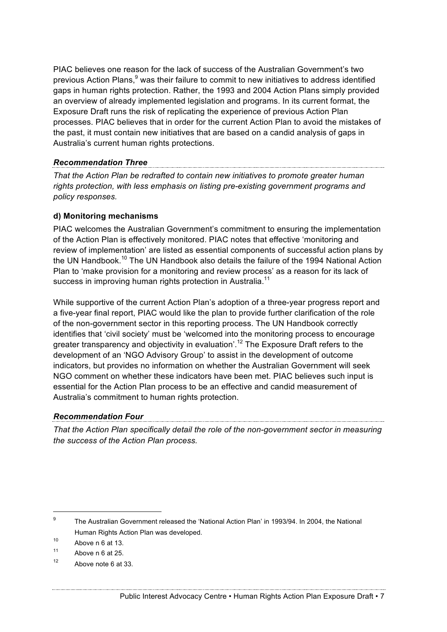PIAC believes one reason for the lack of success of the Australian Government's two previous Action Plans,<sup>9</sup> was their failure to commit to new initiatives to address identified gaps in human rights protection. Rather, the 1993 and 2004 Action Plans simply provided an overview of already implemented legislation and programs. In its current format, the Exposure Draft runs the risk of replicating the experience of previous Action Plan processes. PIAC believes that in order for the current Action Plan to avoid the mistakes of the past, it must contain new initiatives that are based on a candid analysis of gaps in Australia's current human rights protections.

# *Recommendation Three*

*That the Action Plan be redrafted to contain new initiatives to promote greater human rights protection, with less emphasis on listing pre-existing government programs and policy responses.* 

### **d) Monitoring mechanisms**

PIAC welcomes the Australian Government's commitment to ensuring the implementation of the Action Plan is effectively monitored. PIAC notes that effective 'monitoring and review of implementation' are listed as essential components of successful action plans by the UN Handbook.<sup>10</sup> The UN Handbook also details the failure of the 1994 National Action Plan to 'make provision for a monitoring and review process' as a reason for its lack of success in improving human rights protection in Australia.<sup>11</sup>

While supportive of the current Action Plan's adoption of a three-year progress report and a five-year final report, PIAC would like the plan to provide further clarification of the role of the non-government sector in this reporting process. The UN Handbook correctly identifies that 'civil society' must be 'welcomed into the monitoring process to encourage greater transparency and objectivity in evaluation<sup>'.12</sup> The Exposure Draft refers to the development of an 'NGO Advisory Group' to assist in the development of outcome indicators, but provides no information on whether the Australian Government will seek NGO comment on whether these indicators have been met. PIAC believes such input is essential for the Action Plan process to be an effective and candid measurement of Australia's commitment to human rights protection.

*Recommendation Four That the Action Plan specifically detail the role of the non-government sector in measuring the success of the Action Plan process.*

<sup>&</sup>lt;sup>9</sup> The Australian Government released the 'National Action Plan' in 1993/94. In 2004, the National Human Rights Action Plan was developed.

 $10$  Above n 6 at 13.

 $11$  Above n 6 at 25.

 $12$  Above note 6 at 33.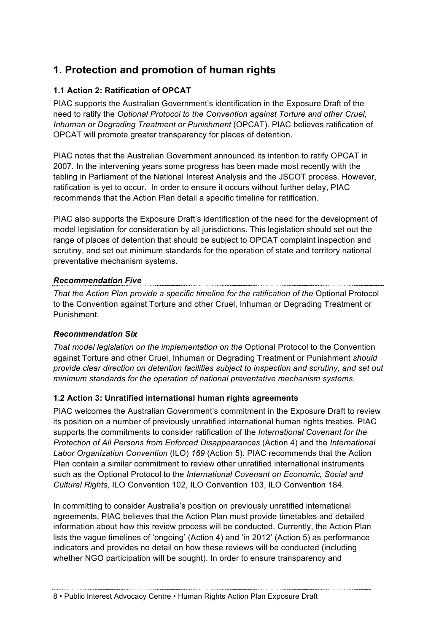### **1. Protection and promotion of human rights**

### **1.1 Action 2: Ratification of OPCAT**

PIAC supports the Australian Government's identification in the Exposure Draft of the need to ratify the *Optional Protocol to the Convention against Torture and other Cruel, Inhuman or Degrading Treatment or Punishment* (OPCAT). PIAC believes ratification of OPCAT will promote greater transparency for places of detention.

PIAC notes that the Australian Government announced its intention to ratify OPCAT in 2007. In the intervening years some progress has been made most recently with the tabling in Parliament of the National Interest Analysis and the JSCOT process. However, ratification is yet to occur. In order to ensure it occurs without further delay, PIAC recommends that the Action Plan detail a specific timeline for ratification.

PIAC also supports the Exposure Draft's identification of the need for the development of model legislation for consideration by all jurisdictions. This legislation should set out the range of places of detention that should be subject to OPCAT complaint inspection and scrutiny, and set out minimum standards for the operation of state and territory national preventative mechanism systems.

*Recommendation Five* That the Action Plan provide a specific timeline for the ratification of the Optional Protocol to the Convention against Torture and other Cruel, Inhuman or Degrading Treatment or Punishment.

### *Recommendation Six*

*That model legislation on the implementation on the* Optional Protocol to the Convention against Torture and other Cruel, Inhuman or Degrading Treatment or Punishment *should provide clear direction on detention facilities subject to inspection and scrutiny, and set out minimum standards for the operation of national preventative mechanism systems.*

### **1.2 Action 3: Unratified international human rights agreements**

PIAC welcomes the Australian Government's commitment in the Exposure Draft to review its position on a number of previously unratified international human rights treaties. PIAC supports the commitments to consider ratification of the *International Covenant for the Protection of All Persons from Enforced Disappearances* (Action 4) and the *International Labor Organization Convention* (ILO) *169* (Action 5). PIAC recommends that the Action Plan contain a similar commitment to review other unratified international instruments such as the Optional Protocol to the *International Covenant on Economic, Social and Cultural Rights,* ILO Convention 102, ILO Convention 103, ILO Convention 184.

In committing to consider Australia's position on previously unratified international agreements, PIAC believes that the Action Plan must provide timetables and detailed information about how this review process will be conducted. Currently, the Action Plan lists the vague timelines of 'ongoing' (Action 4) and 'in 2012' (Action 5) as performance indicators and provides no detail on how these reviews will be conducted (including whether NGO participation will be sought). In order to ensure transparency and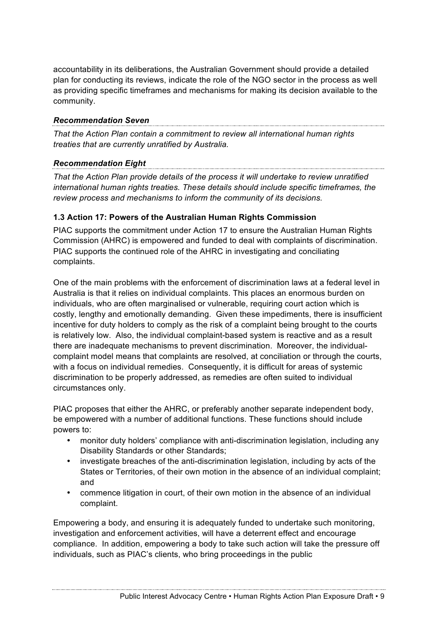accountability in its deliberations, the Australian Government should provide a detailed plan for conducting its reviews, indicate the role of the NGO sector in the process as well as providing specific timeframes and mechanisms for making its decision available to the community.

### *Recommendation Seven*

*That the Action Plan contain a commitment to review all international human rights treaties that are currently unratified by Australia.*

# *Recommendation Eight*

*That the Action Plan provide details of the process it will undertake to review unratified international human rights treaties. These details should include specific timeframes, the review process and mechanisms to inform the community of its decisions.* 

### **1.3 Action 17: Powers of the Australian Human Rights Commission**

PIAC supports the commitment under Action 17 to ensure the Australian Human Rights Commission (AHRC) is empowered and funded to deal with complaints of discrimination. PIAC supports the continued role of the AHRC in investigating and conciliating complaints.

One of the main problems with the enforcement of discrimination laws at a federal level in Australia is that it relies on individual complaints. This places an enormous burden on individuals, who are often marginalised or vulnerable, requiring court action which is costly, lengthy and emotionally demanding. Given these impediments, there is insufficient incentive for duty holders to comply as the risk of a complaint being brought to the courts is relatively low. Also, the individual complaint-based system is reactive and as a result there are inadequate mechanisms to prevent discrimination. Moreover, the individualcomplaint model means that complaints are resolved, at conciliation or through the courts, with a focus on individual remedies. Consequently, it is difficult for areas of systemic discrimination to be properly addressed, as remedies are often suited to individual circumstances only.

PIAC proposes that either the AHRC, or preferably another separate independent body, be empowered with a number of additional functions. These functions should include powers to:

- monitor duty holders' compliance with anti-discrimination legislation, including any Disability Standards or other Standards;
- investigate breaches of the anti-discrimination legislation, including by acts of the States or Territories, of their own motion in the absence of an individual complaint; and
- commence litigation in court, of their own motion in the absence of an individual complaint.

Empowering a body, and ensuring it is adequately funded to undertake such monitoring, investigation and enforcement activities, will have a deterrent effect and encourage compliance. In addition, empowering a body to take such action will take the pressure off individuals, such as PIAC's clients, who bring proceedings in the public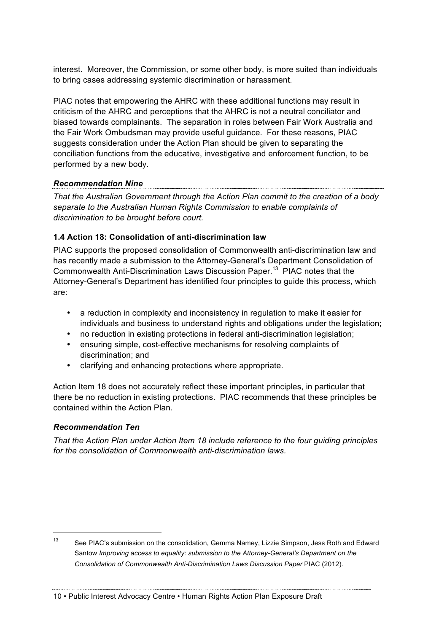interest. Moreover, the Commission, or some other body, is more suited than individuals to bring cases addressing systemic discrimination or harassment.

PIAC notes that empowering the AHRC with these additional functions may result in criticism of the AHRC and perceptions that the AHRC is not a neutral conciliator and biased towards complainants. The separation in roles between Fair Work Australia and the Fair Work Ombudsman may provide useful guidance. For these reasons, PIAC suggests consideration under the Action Plan should be given to separating the conciliation functions from the educative, investigative and enforcement function, to be performed by a new body.

#### *Recommendation Nine*

*That the Australian Government through the Action Plan commit to the creation of a body separate to the Australian Human Rights Commission to enable complaints of discrimination to be brought before court.* 

### **1.4 Action 18: Consolidation of anti-discrimination law**

PIAC supports the proposed consolidation of Commonwealth anti-discrimination law and has recently made a submission to the Attorney-General's Department Consolidation of Commonwealth Anti-Discrimination Laws Discussion Paper.<sup>13</sup> PIAC notes that the Attorney-General's Department has identified four principles to guide this process, which are:

- a reduction in complexity and inconsistency in regulation to make it easier for individuals and business to understand rights and obligations under the legislation;
- no reduction in existing protections in federal anti-discrimination legislation;
- ensuring simple, cost-effective mechanisms for resolving complaints of discrimination; and
- clarifying and enhancing protections where appropriate.

Action Item 18 does not accurately reflect these important principles, in particular that there be no reduction in existing protections. PIAC recommends that these principles be contained within the Action Plan.

*Recommendation Ten That the Action Plan under Action Item 18 include reference to the four guiding principles for the consolidation of Commonwealth anti-discrimination laws.*

<sup>&</sup>lt;sup>13</sup> See PIAC's submission on the consolidation, Gemma Namey, Lizzie Simpson, Jess Roth and Edward Santow *Improving access to equality: submission to the Attorney-General's Department on the Consolidation of Commonwealth Anti-Discrimination Laws Discussion Paper* PIAC (2012).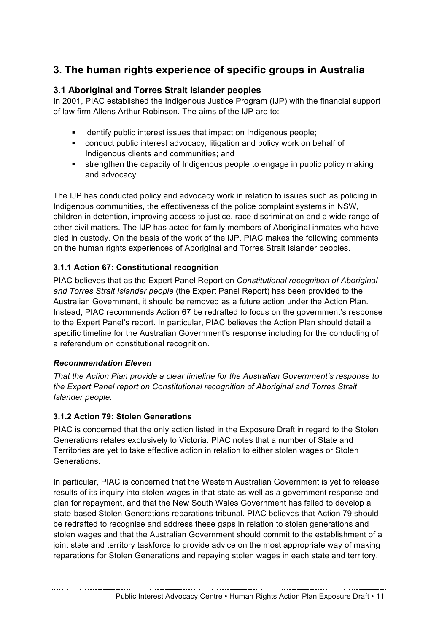## **3. The human rights experience of specific groups in Australia**

### **3.1 Aboriginal and Torres Strait Islander peoples**

In 2001, PIAC established the Indigenous Justice Program (IJP) with the financial support of law firm Allens Arthur Robinson. The aims of the IJP are to:

- identify public interest issues that impact on Indigenous people;
- ! conduct public interest advocacy, litigation and policy work on behalf of Indigenous clients and communities; and
- ! strengthen the capacity of Indigenous people to engage in public policy making and advocacy.

The IJP has conducted policy and advocacy work in relation to issues such as policing in Indigenous communities, the effectiveness of the police complaint systems in NSW, children in detention, improving access to justice, race discrimination and a wide range of other civil matters. The IJP has acted for family members of Aboriginal inmates who have died in custody. On the basis of the work of the IJP, PIAC makes the following comments on the human rights experiences of Aboriginal and Torres Strait Islander peoples.

### **3.1.1 Action 67: Constitutional recognition**

PIAC believes that as the Expert Panel Report on *Constitutional recognition of Aboriginal and Torres Strait Islander people* (the Expert Panel Report) has been provided to the Australian Government, it should be removed as a future action under the Action Plan. Instead, PIAC recommends Action 67 be redrafted to focus on the government's response to the Expert Panel's report. In particular, PIAC believes the Action Plan should detail a specific timeline for the Australian Government's response including for the conducting of a referendum on constitutional recognition.

### *Recommendation Eleven*

*That the Action Plan provide a clear timeline for the Australian Government's response to the Expert Panel report on Constitutional recognition of Aboriginal and Torres Strait Islander people.*

### **3.1.2 Action 79: Stolen Generations**

PIAC is concerned that the only action listed in the Exposure Draft in regard to the Stolen Generations relates exclusively to Victoria. PIAC notes that a number of State and Territories are yet to take effective action in relation to either stolen wages or Stolen Generations.

In particular, PIAC is concerned that the Western Australian Government is yet to release results of its inquiry into stolen wages in that state as well as a government response and plan for repayment, and that the New South Wales Government has failed to develop a state-based Stolen Generations reparations tribunal. PIAC believes that Action 79 should be redrafted to recognise and address these gaps in relation to stolen generations and stolen wages and that the Australian Government should commit to the establishment of a joint state and territory taskforce to provide advice on the most appropriate way of making reparations for Stolen Generations and repaying stolen wages in each state and territory.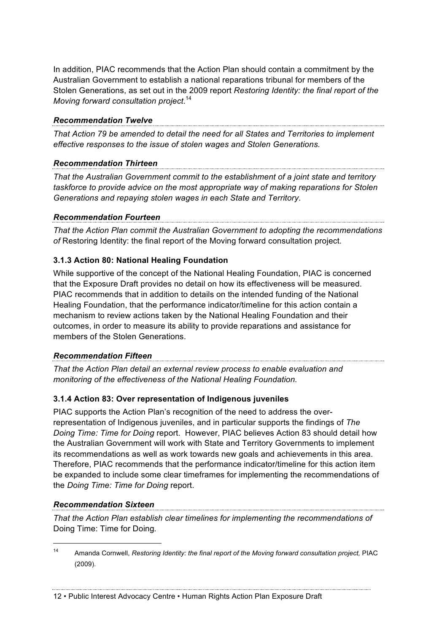In addition, PIAC recommends that the Action Plan should contain a commitment by the Australian Government to establish a national reparations tribunal for members of the Stolen Generations, as set out in the 2009 report *Restoring Identity: the final report of the Moving forward consultation project*. 14

#### *Recommendation Twelve*

*That Action 79 be amended to detail the need for all States and Territories to implement effective responses to the issue of stolen wages and Stolen Generations.* 

# *Recommendation Thirteen*

*That the Australian Government commit to the establishment of a joint state and territory taskforce to provide advice on the most appropriate way of making reparations for Stolen Generations and repaying stolen wages in each State and Territory*.

### *Recommendation Fourteen*

*That the Action Plan commit the Australian Government to adopting the recommendations of* Restoring Identity: the final report of the Moving forward consultation project.

### **3.1.3 Action 80: National Healing Foundation**

While supportive of the concept of the National Healing Foundation, PIAC is concerned that the Exposure Draft provides no detail on how its effectiveness will be measured. PIAC recommends that in addition to details on the intended funding of the National Healing Foundation, that the performance indicator/timeline for this action contain a mechanism to review actions taken by the National Healing Foundation and their outcomes, in order to measure its ability to provide reparations and assistance for members of the Stolen Generations.

### *Recommendation Fifteen*

*That the Action Plan detail an external review process to enable evaluation and monitoring of the effectiveness of the National Healing Foundation.*

### **3.1.4 Action 83: Over representation of Indigenous juveniles**

PIAC supports the Action Plan's recognition of the need to address the overrepresentation of Indigenous juveniles, and in particular supports the findings of *The Doing Time: Time for Doing* report. However, PIAC believes Action 83 should detail how the Australian Government will work with State and Territory Governments to implement its recommendations as well as work towards new goals and achievements in this area. Therefore, PIAC recommends that the performance indicator/timeline for this action item be expanded to include some clear timeframes for implementing the recommendations of the *Doing Time: Time for Doing* report.

# *Recommendation Sixteen*

*That the Action Plan establish clear timelines for implementing the recommendations of* Doing Time: Time for Doing*.*

<sup>&</sup>lt;sup>14</sup> Amanda Cornwell, *Restoring Identity: the final report of the Moving forward consultation project, PIAC* (2009).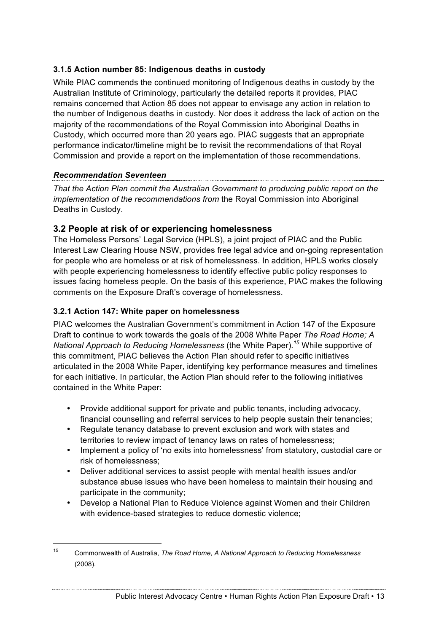### **3.1.5 Action number 85: Indigenous deaths in custody**

While PIAC commends the continued monitoring of Indigenous deaths in custody by the Australian Institute of Criminology, particularly the detailed reports it provides, PIAC remains concerned that Action 85 does not appear to envisage any action in relation to the number of Indigenous deaths in custody. Nor does it address the lack of action on the majority of the recommendations of the Royal Commission into Aboriginal Deaths in Custody, which occurred more than 20 years ago. PIAC suggests that an appropriate performance indicator/timeline might be to revisit the recommendations of that Royal Commission and provide a report on the implementation of those recommendations.

### *Recommendation Seventeen*

*That the Action Plan commit the Australian Government to producing public report on the implementation of the recommendations from* the Royal Commission into Aboriginal Deaths in Custody.

### **3.2 People at risk of or experiencing homelessness**

The Homeless Persons' Legal Service (HPLS), a joint project of PIAC and the Public Interest Law Clearing House NSW, provides free legal advice and on-going representation for people who are homeless or at risk of homelessness. In addition, HPLS works closely with people experiencing homelessness to identify effective public policy responses to issues facing homeless people. On the basis of this experience, PIAC makes the following comments on the Exposure Draft's coverage of homelessness.

### **3.2.1 Action 147: White paper on homelessness**

PIAC welcomes the Australian Government's commitment in Action 147 of the Exposure Draft to continue to work towards the goals of the 2008 White Paper *The Road Home; A National Approach to Reducing Homelessness* (the White Paper)*. <sup>15</sup>* While supportive of this commitment, PIAC believes the Action Plan should refer to specific initiatives articulated in the 2008 White Paper, identifying key performance measures and timelines for each initiative. In particular, the Action Plan should refer to the following initiatives contained in the White Paper:

- Provide additional support for private and public tenants, including advocacy, financial counselling and referral services to help people sustain their tenancies;
- Regulate tenancy database to prevent exclusion and work with states and territories to review impact of tenancy laws on rates of homelessness;
- Implement a policy of 'no exits into homelessness' from statutory, custodial care or risk of homelessness;
- Deliver additional services to assist people with mental health issues and/or substance abuse issues who have been homeless to maintain their housing and participate in the community;
- Develop a National Plan to Reduce Violence against Women and their Children with evidence-based strategies to reduce domestic violence;

 <sup>15</sup> Commonwealth of Australia, *The Road Home, A National Approach to Reducing Homelessness* (2008).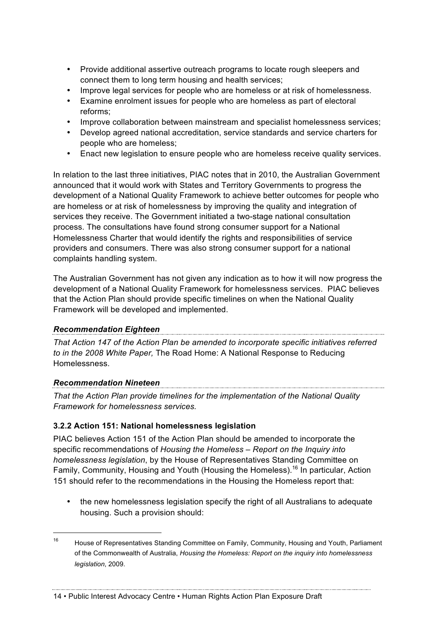- Provide additional assertive outreach programs to locate rough sleepers and connect them to long term housing and health services;
- Improve legal services for people who are homeless or at risk of homelessness.
- Examine enrolment issues for people who are homeless as part of electoral reforms;
- Improve collaboration between mainstream and specialist homelessness services;
- Develop agreed national accreditation, service standards and service charters for people who are homeless;
- Enact new legislation to ensure people who are homeless receive quality services.

In relation to the last three initiatives, PIAC notes that in 2010, the Australian Government announced that it would work with States and Territory Governments to progress the development of a National Quality Framework to achieve better outcomes for people who are homeless or at risk of homelessness by improving the quality and integration of services they receive. The Government initiated a two-stage national consultation process. The consultations have found strong consumer support for a National Homelessness Charter that would identify the rights and responsibilities of service providers and consumers. There was also strong consumer support for a national complaints handling system.

The Australian Government has not given any indication as to how it will now progress the development of a National Quality Framework for homelessness services. PIAC believes that the Action Plan should provide specific timelines on when the National Quality Framework will be developed and implemented.

### *Recommendation Eighteen*

*That Action 147 of the Action Plan be amended to incorporate specific initiatives referred to in the 2008 White Paper,* The Road Home: A National Response to Reducing Homelessness.

#### *Recommendation Nineteen*

*That the Action Plan provide timelines for the implementation of the National Quality Framework for homelessness services.* 

### **3.2.2 Action 151: National homelessness legislation**

PIAC believes Action 151 of the Action Plan should be amended to incorporate the specific recommendations of *Housing the Homeless – Report on the Inquiry into homelessness legislation*, by the House of Representatives Standing Committee on Family, Community, Housing and Youth (Housing the Homeless).<sup>16</sup> In particular, Action 151 should refer to the recommendations in the Housing the Homeless report that:

• the new homelessness legislation specify the right of all Australians to adequate housing. Such a provision should:

<sup>&</sup>lt;sup>16</sup> House of Representatives Standing Committee on Family, Community, Housing and Youth, Parliament of the Commonwealth of Australia, *Housing the Homeless: Report on the inquiry into homelessness legislation*, 2009.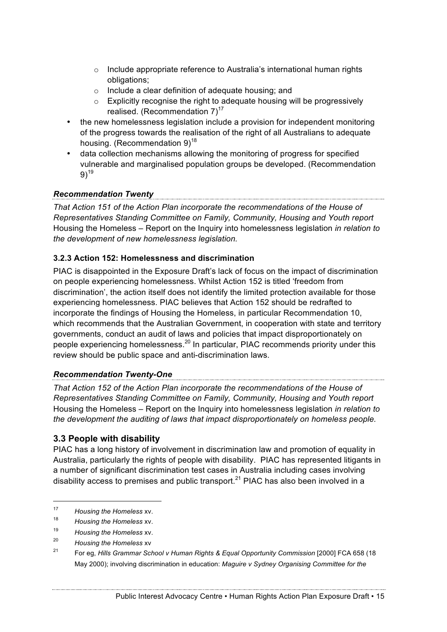- o Include appropriate reference to Australia's international human rights obligations;
- $\circ$  Include a clear definition of adequate housing; and
- $\circ$  Explicitly recognise the right to adequate housing will be progressively realised. (Recommendation  $7)^{17}$
- the new homelessness legislation include a provision for independent monitoring of the progress towards the realisation of the right of all Australians to adequate housing. (Recommendation  $9)^{18}$
- data collection mechanisms allowing the monitoring of progress for specified vulnerable and marginalised population groups be developed. (Recommendation  $9)$ <sup>19</sup>

## *Recommendation Twenty*

*That Action 151 of the Action Plan incorporate the recommendations of the House of Representatives Standing Committee on Family, Community, Housing and Youth report*  Housing the Homeless – Report on the Inquiry into homelessness legislation *in relation to the development of new homelessness legislation.*

### **3.2.3 Action 152: Homelessness and discrimination**

PIAC is disappointed in the Exposure Draft's lack of focus on the impact of discrimination on people experiencing homelessness. Whilst Action 152 is titled 'freedom from discrimination', the action itself does not identify the limited protection available for those experiencing homelessness. PIAC believes that Action 152 should be redrafted to incorporate the findings of Housing the Homeless, in particular Recommendation 10, which recommends that the Australian Government, in cooperation with state and territory governments, conduct an audit of laws and policies that impact disproportionately on people experiencing homelessness.<sup>20</sup> In particular, PIAC recommends priority under this review should be public space and anti-discrimination laws.

# *Recommendation Twenty-One*

*That Action 152 of the Action Plan incorporate the recommendations of the House of Representatives Standing Committee on Family, Community, Housing and Youth report*  Housing the Homeless – Report on the Inquiry into homelessness legislation *in relation to the development the auditing of laws that impact disproportionately on homeless people.* 

### **3.3 People with disability**

PIAC has a long history of involvement in discrimination law and promotion of equality in Australia, particularly the rights of people with disability. PIAC has represented litigants in a number of significant discrimination test cases in Australia including cases involving disability access to premises and public transport.<sup>21</sup> PIAC has also been involved in a

<sup>20</sup> *Housing the Homeless* xv

 <sup>17</sup> *Housing the Homeless* xv.

<sup>18</sup> *Housing the Homeless* xv.

<sup>19</sup> *Housing the Homeless* xv.

<sup>21</sup> For eg, *Hills Grammar School v Human Rights & Equal Opportunity Commission* [2000] FCA 658 (18 May 2000); involving discrimination in education: *Maguire v Sydney Organising Committee for the*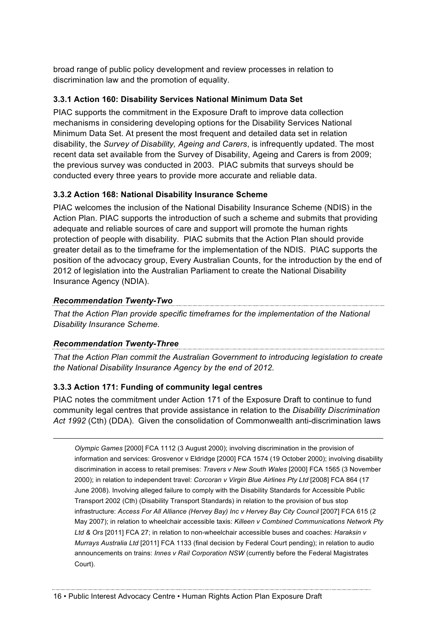broad range of public policy development and review processes in relation to discrimination law and the promotion of equality.

### **3.3.1 Action 160: Disability Services National Minimum Data Set**

PIAC supports the commitment in the Exposure Draft to improve data collection mechanisms in considering developing options for the Disability Services National Minimum Data Set. At present the most frequent and detailed data set in relation disability, the *Survey of Disability, Ageing and Carers*, is infrequently updated. The most recent data set available from the Survey of Disability, Ageing and Carers is from 2009; the previous survey was conducted in 2003. PIAC submits that surveys should be conducted every three years to provide more accurate and reliable data.

### **3.3.2 Action 168: National Disability Insurance Scheme**

PIAC welcomes the inclusion of the National Disability Insurance Scheme (NDIS) in the Action Plan. PIAC supports the introduction of such a scheme and submits that providing adequate and reliable sources of care and support will promote the human rights protection of people with disability. PIAC submits that the Action Plan should provide greater detail as to the timeframe for the implementation of the NDIS. PIAC supports the position of the advocacy group, Every Australian Counts, for the introduction by the end of 2012 of legislation into the Australian Parliament to create the National Disability Insurance Agency (NDIA).

### *Recommendation Twenty-Two*

*That the Action Plan provide specific timeframes for the implementation of the National Disability Insurance Scheme.*

## *Recommendation Twenty-Three*

*That the Action Plan commit the Australian Government to introducing legislation to create the National Disability Insurance Agency by the end of 2012.* 

### **3.3.3 Action 171: Funding of community legal centres**

PIAC notes the commitment under Action 171 of the Exposure Draft to continue to fund community legal centres that provide assistance in relation to the *Disability Discrimination Act 1992* (Cth) (DDA). Given the consolidation of Commonwealth anti-discrimination laws

*Olympic Games* [2000] FCA 1112 (3 August 2000); involving discrimination in the provision of information and services: Grosvenor v Eldridge [2000] FCA 1574 (19 October 2000); involving disability discrimination in access to retail premises: *Travers v New South Wales* [2000] FCA 1565 (3 November 2000); in relation to independent travel: *Corcoran v Virgin Blue Airlines Pty Ltd* [2008] FCA 864 (17 June 2008). Involving alleged failure to comply with the Disability Standards for Accessible Public Transport 2002 (Cth) (Disability Transport Standards) in relation to the provision of bus stop infrastructure: *Access For All Alliance (Hervey Bay) Inc v Hervey Bay City Council* [2007] FCA 615 (2 May 2007); in relation to wheelchair accessible taxis: *Killeen v Combined Communications Network Pty Ltd & Ors* [2011] FCA 27; in relation to non-wheelchair accessible buses and coaches: *Haraksin v Murrays Australia Ltd* [2011] FCA 1133 (final decision by Federal Court pending); in relation to audio announcements on trains: *Innes v Rail Corporation NSW* (currently before the Federal Magistrates Court).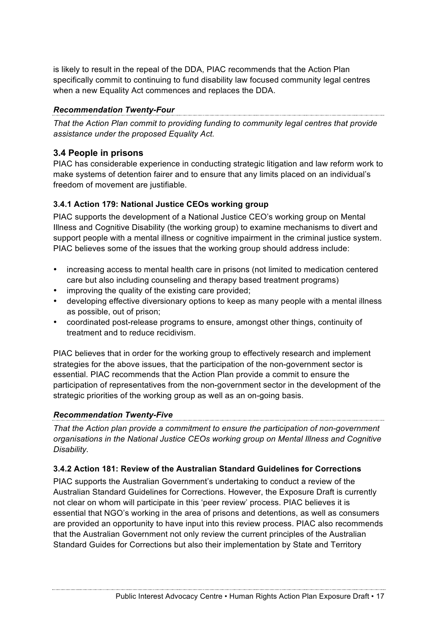is likely to result in the repeal of the DDA, PIAC recommends that the Action Plan specifically commit to continuing to fund disability law focused community legal centres when a new Equality Act commences and replaces the DDA.

### *Recommendation Twenty-Four*

*That the Action Plan commit to providing funding to community legal centres that provide assistance under the proposed Equality Act.*

### **3.4 People in prisons**

PIAC has considerable experience in conducting strategic litigation and law reform work to make systems of detention fairer and to ensure that any limits placed on an individual's freedom of movement are justifiable.

### **3.4.1 Action 179: National Justice CEOs working group**

PIAC supports the development of a National Justice CEO's working group on Mental Illness and Cognitive Disability (the working group) to examine mechanisms to divert and support people with a mental illness or cognitive impairment in the criminal justice system. PIAC believes some of the issues that the working group should address include:

- increasing access to mental health care in prisons (not limited to medication centered care but also including counseling and therapy based treatment programs)
- improving the quality of the existing care provided;
- developing effective diversionary options to keep as many people with a mental illness as possible, out of prison;
- coordinated post-release programs to ensure, amongst other things, continuity of treatment and to reduce recidivism.

PIAC believes that in order for the working group to effectively research and implement strategies for the above issues, that the participation of the non-government sector is essential. PIAC recommends that the Action Plan provide a commit to ensure the participation of representatives from the non-government sector in the development of the strategic priorities of the working group as well as an on-going basis.

### *Recommendation Twenty-Five*

*That the Action plan provide a commitment to ensure the participation of non-government organisations in the National Justice CEOs working group on Mental Illness and Cognitive Disability.*

### **3.4.2 Action 181: Review of the Australian Standard Guidelines for Corrections**

PIAC supports the Australian Government's undertaking to conduct a review of the Australian Standard Guidelines for Corrections. However, the Exposure Draft is currently not clear on whom will participate in this 'peer review' process. PIAC believes it is essential that NGO's working in the area of prisons and detentions, as well as consumers are provided an opportunity to have input into this review process. PIAC also recommends that the Australian Government not only review the current principles of the Australian Standard Guides for Corrections but also their implementation by State and Territory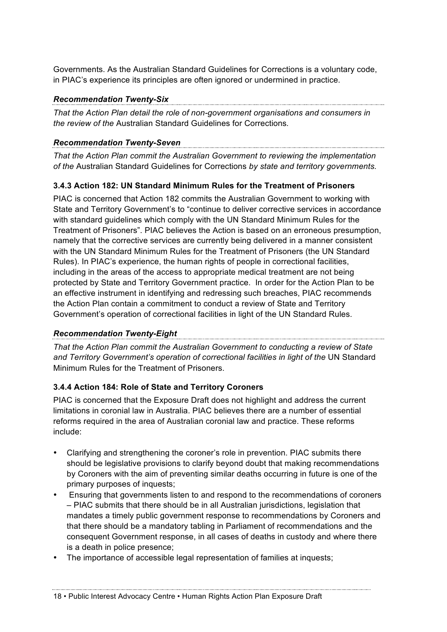Governments. As the Australian Standard Guidelines for Corrections is a voluntary code, in PIAC's experience its principles are often ignored or undermined in practice.

# *Recommendation Twenty-Six*

*That the Action Plan detail the role of non-government organisations and consumers in the review of the* Australian Standard Guidelines for Corrections*.*

### *Recommendation Twenty-Seven*

*That the Action Plan commit the Australian Government to reviewing the implementation of the* Australian Standard Guidelines for Corrections *by state and territory governments.* 

### **3.4.3 Action 182: UN Standard Minimum Rules for the Treatment of Prisoners**

PIAC is concerned that Action 182 commits the Australian Government to working with State and Territory Government's to "continue to deliver corrective services in accordance with standard guidelines which comply with the UN Standard Minimum Rules for the Treatment of Prisoners". PIAC believes the Action is based on an erroneous presumption, namely that the corrective services are currently being delivered in a manner consistent with the UN Standard Minimum Rules for the Treatment of Prisoners (the UN Standard Rules). In PIAC's experience, the human rights of people in correctional facilities, including in the areas of the access to appropriate medical treatment are not being protected by State and Territory Government practice. In order for the Action Plan to be an effective instrument in identifying and redressing such breaches, PIAC recommends the Action Plan contain a commitment to conduct a review of State and Territory Government's operation of correctional facilities in light of the UN Standard Rules.

## *Recommendation Twenty-Eight*

*That the Action Plan commit the Australian Government to conducting a review of State*  and Territory Government's operation of correctional facilities in light of the UN Standard Minimum Rules for the Treatment of Prisoners.

### **3.4.4 Action 184: Role of State and Territory Coroners**

PIAC is concerned that the Exposure Draft does not highlight and address the current limitations in coronial law in Australia. PIAC believes there are a number of essential reforms required in the area of Australian coronial law and practice. These reforms include:

- Clarifying and strengthening the coroner's role in prevention. PIAC submits there should be legislative provisions to clarify beyond doubt that making recommendations by Coroners with the aim of preventing similar deaths occurring in future is one of the primary purposes of inquests;
- Ensuring that governments listen to and respond to the recommendations of coroners – PIAC submits that there should be in all Australian jurisdictions, legislation that mandates a timely public government response to recommendations by Coroners and that there should be a mandatory tabling in Parliament of recommendations and the consequent Government response, in all cases of deaths in custody and where there is a death in police presence;

• The importance of accessible legal representation of families at inquests;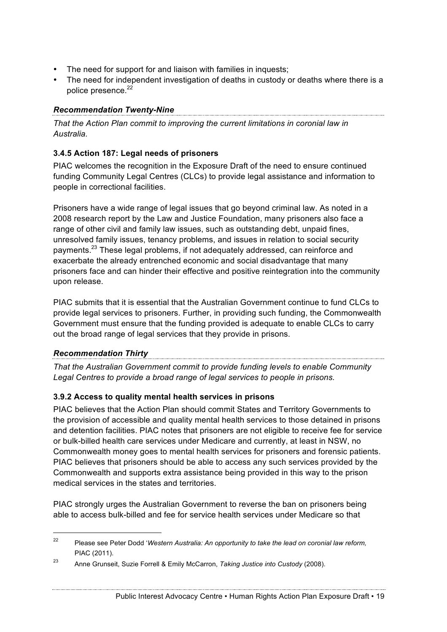- The need for support for and liaison with families in inquests;
- The need for independent investigation of deaths in custody or deaths where there is a police presence.<sup>22</sup>

### *Recommendation Twenty-Nine*

*That the Action Plan commit to improving the current limitations in coronial law in Australia.*

### **3.4.5 Action 187: Legal needs of prisoners**

PIAC welcomes the recognition in the Exposure Draft of the need to ensure continued funding Community Legal Centres (CLCs) to provide legal assistance and information to people in correctional facilities.

Prisoners have a wide range of legal issues that go beyond criminal law. As noted in a 2008 research report by the Law and Justice Foundation, many prisoners also face a range of other civil and family law issues, such as outstanding debt, unpaid fines, unresolved family issues, tenancy problems, and issues in relation to social security payments.<sup>23</sup> These legal problems, if not adequately addressed, can reinforce and exacerbate the already entrenched economic and social disadvantage that many prisoners face and can hinder their effective and positive reintegration into the community upon release.

PIAC submits that it is essential that the Australian Government continue to fund CLCs to provide legal services to prisoners. Further, in providing such funding, the Commonwealth Government must ensure that the funding provided is adequate to enable CLCs to carry out the broad range of legal services that they provide in prisons.

# *Recommendation Thirty*

*That the Australian Government commit to provide funding levels to enable Community Legal Centres to provide a broad range of legal services to people in prisons.*

### **3.9.2 Access to quality mental health services in prisons**

PIAC believes that the Action Plan should commit States and Territory Governments to the provision of accessible and quality mental health services to those detained in prisons and detention facilities. PIAC notes that prisoners are not eligible to receive fee for service or bulk-billed health care services under Medicare and currently, at least in NSW, no Commonwealth money goes to mental health services for prisoners and forensic patients. PIAC believes that prisoners should be able to access any such services provided by the Commonwealth and supports extra assistance being provided in this way to the prison medical services in the states and territories.

PIAC strongly urges the Australian Government to reverse the ban on prisoners being able to access bulk-billed and fee for service health services under Medicare so that

 <sup>22</sup> Please see Peter Dodd '*Western Australia: An opportunity to take the lead on coronial law reform,*  PIAC (2011).

<sup>23</sup> Anne Grunseit, Suzie Forrell & Emily McCarron, *Taking Justice into Custody* (2008).